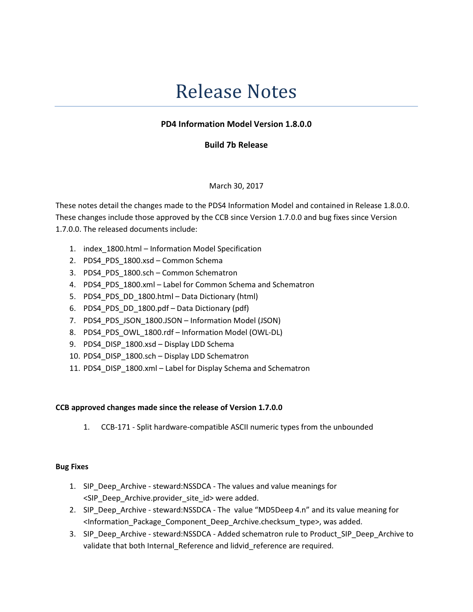# Release Notes

## PD4 Information Model Version 1.8.0.0

## Build 7b Release

### March 30, 2017

These notes detail the changes made to the PDS4 Information Model and contained in Release 1.8.0.0. These changes include those approved by the CCB since Version 1.7.0.0 and bug fixes since Version 1.7.0.0. The released documents include:

- 1. index\_1800.html Information Model Specification
- 2. PDS4 PDS 1800.xsd Common Schema
- 3. PDS4 PDS 1800.sch Common Schematron
- 4. PDS4\_PDS\_1800.xml Label for Common Schema and Schematron
- 5. PDS4 PDS DD 1800.html Data Dictionary (html)
- 6. PDS4\_PDS\_DD\_1800.pdf Data Dictionary (pdf)
- 7. PDS4 PDS JSON 1800.JSON Information Model (JSON)
- 8. PDS4 PDS OWL 1800.rdf Information Model (OWL-DL)
- 9. PDS4\_DISP\_1800.xsd Display LDD Schema
- 10. PDS4\_DISP\_1800.sch Display LDD Schematron
- 11. PDS4\_DISP\_1800.xml Label for Display Schema and Schematron

### CCB approved changes made since the release of Version 1.7.0.0

1. CCB-171 - Split hardware-compatible ASCII numeric types from the unbounded

#### Bug Fixes

- 1. SIP\_Deep\_Archive steward:NSSDCA The values and value meanings for <SIP\_Deep\_Archive.provider\_site\_id> were added.
- 2. SIP\_Deep\_Archive steward:NSSDCA The value "MD5Deep 4.n" and its value meaning for <Information\_Package\_Component\_Deep\_Archive.checksum\_type>, was added.
- 3. SIP\_Deep\_Archive steward:NSSDCA Added schematron rule to Product\_SIP\_Deep\_Archive to validate that both Internal\_Reference and lidvid\_reference are required.